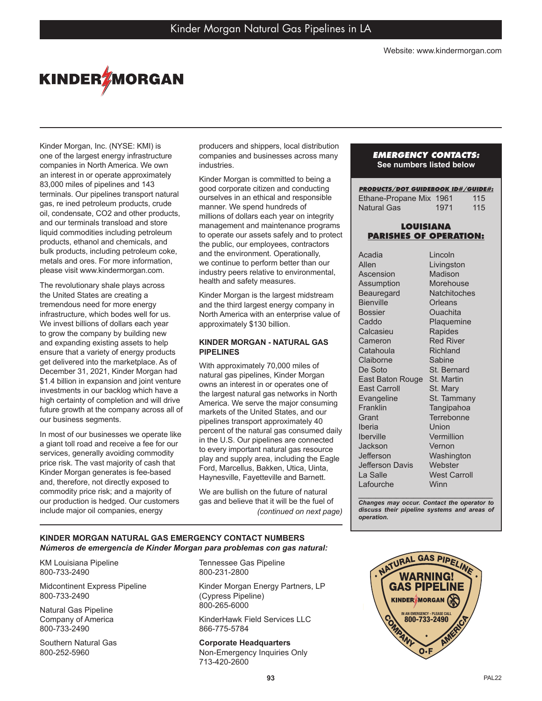

Kinder Morgan, Inc. (NYSE: KMI) is one of the largest energy infrastructure companies in North America. We own an interest in or operate approximately 83,000 miles of pipelines and 143 terminals. Our pipelines transport natural gas, re ined petroleum products, crude oil, condensate, CO2 and other products, and our terminals transload and store liquid commodities including petroleum products, ethanol and chemicals, and bulk products, including petroleum coke, metals and ores. For more information, please visit www.kindermorgan.com.

The revolutionary shale plays across the United States are creating a tremendous need for more energy infrastructure, which bodes well for us. We invest billions of dollars each year to grow the company by building new and expanding existing assets to help ensure that a variety of energy products get delivered into the marketplace. As of December 31, 2021, Kinder Morgan had \$1.4 billion in expansion and joint venture investments in our backlog which have a high certainty of completion and will drive future growth at the company across all of our business segments.

In most of our businesses we operate like a giant toll road and receive a fee for our services, generally avoiding commodity price risk. The vast majority of cash that Kinder Morgan generates is fee-based and, therefore, not directly exposed to commodity price risk; and a majority of our production is hedged. Our customers include major oil companies, energy

producers and shippers, local distribution companies and businesses across many industries.

Kinder Morgan is committed to being a good corporate citizen and conducting ourselves in an ethical and responsible manner. We spend hundreds of millions of dollars each year on integrity management and maintenance programs to operate our assets safely and to protect the public, our employees, contractors and the environment. Operationally, we continue to perform better than our industry peers relative to environmental, health and safety measures.

Kinder Morgan is the largest midstream and the third largest energy company in North America with an enterprise value of approximately \$130 billion.

## **KINDER MORGAN - NATURAL GAS PIPELINES**

With approximately 70,000 miles of natural gas pipelines, Kinder Morgan owns an interest in or operates one of the largest natural gas networks in North America. We serve the major consuming markets of the United States, and our pipelines transport approximately 40 percent of the natural gas consumed daily in the U.S. Our pipelines are connected to every important natural gas resource play and supply area, including the Eagle Ford, Marcellus, Bakken, Utica, Uinta, Haynesville, Fayetteville and Barnett.

We are bullish on the future of natural gas and believe that it will be the fuel of *(continued on next page)*

#### *EMERGENCY CONTACTS:* **See numbers listed below**

| <b>PRODUCTS/DOT GUIDEBOOK ID#/GUIDE#:</b> |      |     |
|-------------------------------------------|------|-----|
| Ethane-Propane Mix 1961                   |      | 115 |
| Natural Gas                               | 1971 | 115 |

## **LOUISIANA PARISHES OF OPERATION:**

| Acadia                  | Lincoln             |
|-------------------------|---------------------|
| Allen                   | Livingston          |
| Ascension               | Madison             |
| Assumption              | Morehouse           |
| Beauregard              | Natchitoches        |
| <b>Bienville</b>        | Orleans             |
| <b>Bossier</b>          | Ouachita            |
| Caddo                   | Plaquemine          |
| Calcasieu               | Rapides             |
| Cameron                 | <b>Red River</b>    |
| Catahoula               | Richland            |
| Claiborne               | Sabine              |
| De Soto                 | St. Bernard         |
| <b>East Baton Rouge</b> | St. Martin          |
| <b>East Carroll</b>     | St. Mary            |
| Evangeline              | St. Tammany         |
| Franklin                | Tangipahoa          |
| Grant                   | Terrebonne          |
| Iberia                  | Union               |
| <b>Iberville</b>        | Vermillion          |
| Jackson                 | Vernon              |
| Jefferson               | Washington          |
| Jefferson Davis         | Webster             |
| La Salle                | <b>West Carroll</b> |
| Lafourche               | Winn                |

*\_\_\_\_\_\_\_\_\_\_\_\_\_\_\_\_\_\_\_\_\_\_\_\_\_\_\_\_\_\_\_\_\_\_\_\_\_\_\_ Changes may occur. Contact the operator to discuss their pipeline systems and areas of operation.*

#### **KINDER MORGAN NATURAL GAS EMERGENCY CONTACT NUMBERS**  *Números de emergencia de Kinder Morgan para problemas con gas natural:*

KM Louisiana Pipeline 800-733-2490

Midcontinent Express Pipeline 800-733-2490

Natural Gas Pipeline Company of America 800-733-2490

Southern Natural Gas 800-252-5960

Tennessee Gas Pipeline 800-231-2800

Kinder Morgan Energy Partners, LP (Cypress Pipeline) 800-265-6000

KinderHawk Field Services LLC 866-775-5784

**Corporate Headquarters**  Non-Emergency Inquiries Only 713-420-2600